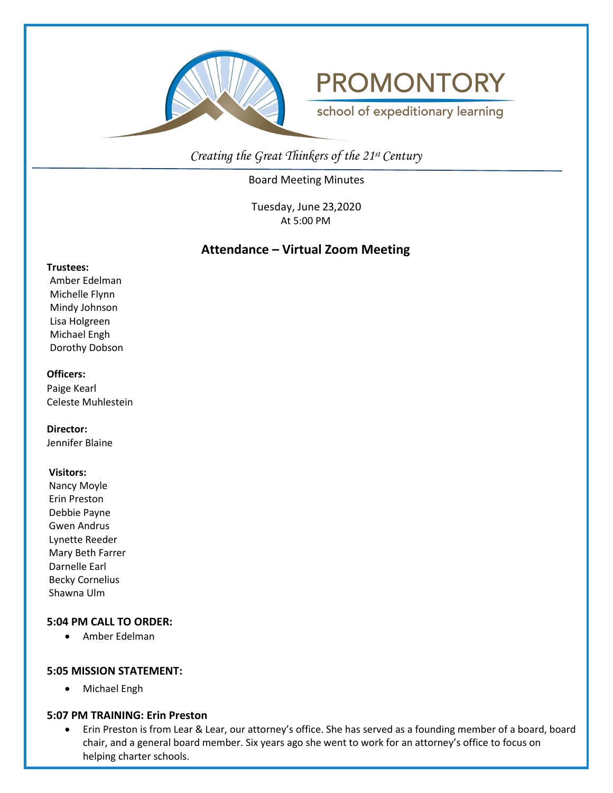

# **PROMONTORY**

school of expeditionary learning

*Creating the Great Thinkers of the 21st Century*

Board Meeting Minutes

Tuesday, June 23,2020 At 5:00 PM

# **Attendance – Virtual Zoom Meeting**

#### **Trustees:**

Amber Edelman Michelle Flynn Mindy Johnson Lisa Holgreen Michael Engh Dorothy Dobson

# **Officers:**

Paige Kearl Celeste Muhlestein

**Director:**

Jennifer Blaine

#### **Visitors:**

Nancy Moyle Erin Preston Debbie Payne Gwen Andrus Lynette Reeder Mary Beth Farrer Darnelle Earl Becky Cornelius Shawna Ulm

# **5:04 PM CALL TO ORDER:**

• Amber Edelman

# **5:05 MISSION STATEMENT:**

• Michael Engh

# **5:07 PM TRAINING: Erin Preston**

• Erin Preston is from Lear & Lear, our attorney's office. She has served as a founding member of a board, board chair, and a general board member. Six years ago she went to work for an attorney's office to focus on helping charter schools.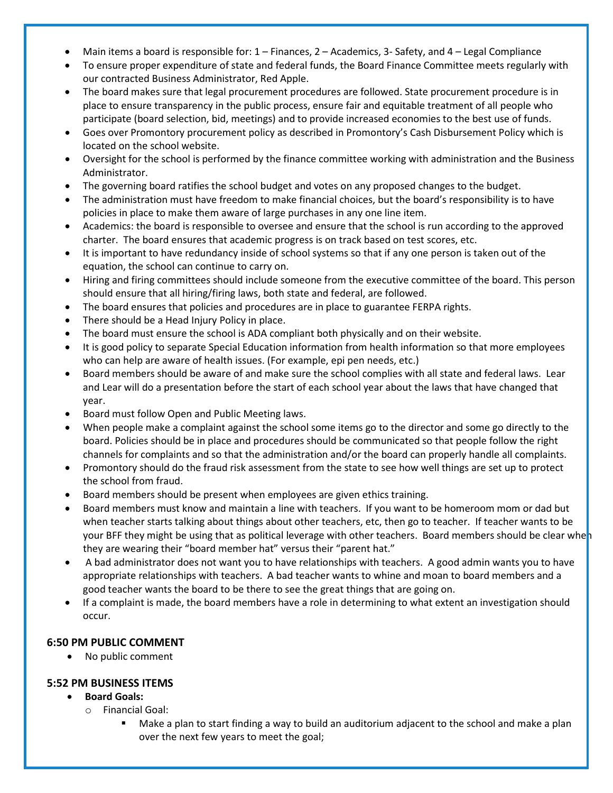- Main items a board is responsible for:  $1 -$  Finances,  $2 -$  Academics,  $3 -$  Safety, and  $4 -$  Legal Compliance
- To ensure proper expenditure of state and federal funds, the Board Finance Committee meets regularly with our contracted Business Administrator, Red Apple.
- The board makes sure that legal procurement procedures are followed. State procurement procedure is in place to ensure transparency in the public process, ensure fair and equitable treatment of all people who participate (board selection, bid, meetings) and to provide increased economies to the best use of funds.
- Goes over Promontory procurement policy as described in Promontory's Cash Disbursement Policy which is located on the school website.
- Oversight for the school is performed by the finance committee working with administration and the Business Administrator.
- The governing board ratifies the school budget and votes on any proposed changes to the budget.
- The administration must have freedom to make financial choices, but the board's responsibility is to have policies in place to make them aware of large purchases in any one line item.
- Academics: the board is responsible to oversee and ensure that the school is run according to the approved charter. The board ensures that academic progress is on track based on test scores, etc.
- It is important to have redundancy inside of school systems so that if any one person is taken out of the equation, the school can continue to carry on.
- Hiring and firing committees should include someone from the executive committee of the board. This person should ensure that all hiring/firing laws, both state and federal, are followed.
- The board ensures that policies and procedures are in place to guarantee FERPA rights.
- There should be a Head Injury Policy in place.
- The board must ensure the school is ADA compliant both physically and on their website.
- It is good policy to separate Special Education information from health information so that more employees who can help are aware of health issues. (For example, epi pen needs, etc.)
- Board members should be aware of and make sure the school complies with all state and federal laws. Lear and Lear will do a presentation before the start of each school year about the laws that have changed that year.
- Board must follow Open and Public Meeting laws.
- When people make a complaint against the school some items go to the director and some go directly to the board. Policies should be in place and procedures should be communicated so that people follow the right channels for complaints and so that the administration and/or the board can properly handle all complaints.
- Promontory should do the fraud risk assessment from the state to see how well things are set up to protect the school from fraud.
- Board members should be present when employees are given ethics training.
- Board members must know and maintain a line with teachers. If you want to be homeroom mom or dad but when teacher starts talking about things about other teachers, etc, then go to teacher. If teacher wants to be your BFF they might be using that as political leverage with other teachers. Board members should be clear when they are wearing their "board member hat" versus their "parent hat."
- A bad administrator does not want you to have relationships with teachers. A good admin wants you to have appropriate relationships with teachers. A bad teacher wants to whine and moan to board members and a good teacher wants the board to be there to see the great things that are going on.
- If a complaint is made, the board members have a role in determining to what extent an investigation should occur.

# **6:50 PM PUBLIC COMMENT**

• No public comment

# **5:52 PM BUSINESS ITEMS**

- **Board Goals:**
	- o Financial Goal:
		- Make a plan to start finding a way to build an auditorium adjacent to the school and make a plan over the next few years to meet the goal;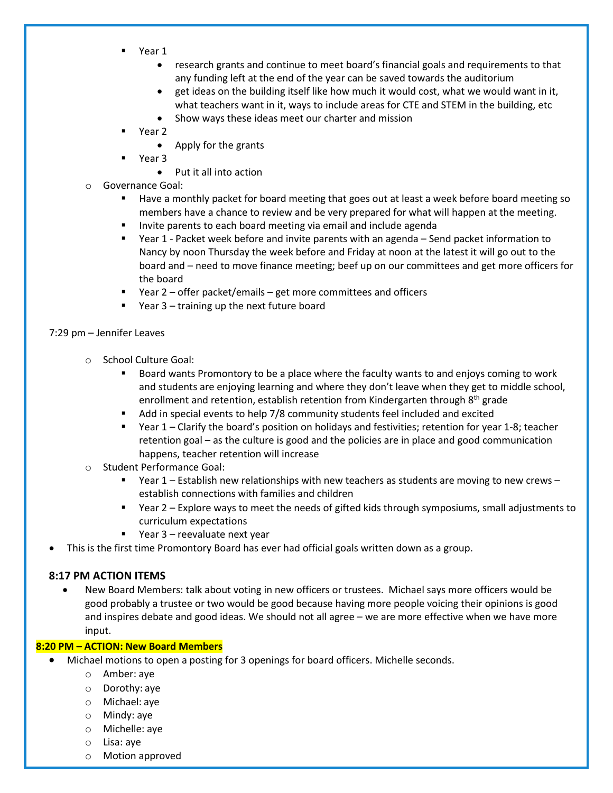- Year 1
	- research grants and continue to meet board's financial goals and requirements to that any funding left at the end of the year can be saved towards the auditorium
	- get ideas on the building itself like how much it would cost, what we would want in it, what teachers want in it, ways to include areas for CTE and STEM in the building, etc
	- Show ways these ideas meet our charter and mission
- Year 2
	- Apply for the grants
	- Year 3
		- Put it all into action
- o Governance Goal:
	- Have a monthly packet for board meeting that goes out at least a week before board meeting so members have a chance to review and be very prepared for what will happen at the meeting.
	- Invite parents to each board meeting via email and include agenda
	- Year 1 Packet week before and invite parents with an agenda Send packet information to Nancy by noon Thursday the week before and Friday at noon at the latest it will go out to the board and – need to move finance meeting; beef up on our committees and get more officers for the board
	- Year 2 offer packet/emails get more committees and officers
	- Year 3 training up the next future board

# 7:29 pm – Jennifer Leaves

- o School Culture Goal:
	- Board wants Promontory to be a place where the faculty wants to and enjoys coming to work and students are enjoying learning and where they don't leave when they get to middle school, enrollment and retention, establish retention from Kindergarten through 8<sup>th</sup> grade
	- Add in special events to help 7/8 community students feel included and excited
	- Year 1 Clarify the board's position on holidays and festivities; retention for year 1-8; teacher retention goal – as the culture is good and the policies are in place and good communication happens, teacher retention will increase
- o Student Performance Goal:
	- $\blacksquare$  Year 1 Establish new relationships with new teachers as students are moving to new crews establish connections with families and children
	- Year 2 Explore ways to meet the needs of gifted kids through symposiums, small adjustments to curriculum expectations
	- Year 3 reevaluate next year
- This is the first time Promontory Board has ever had official goals written down as a group.

# **8:17 PM ACTION ITEMS**

• New Board Members: talk about voting in new officers or trustees. Michael says more officers would be good probably a trustee or two would be good because having more people voicing their opinions is good and inspires debate and good ideas. We should not all agree – we are more effective when we have more input.

# **8:20 PM – ACTION: New Board Members**

- Michael motions to open a posting for 3 openings for board officers. Michelle seconds.
	- o Amber: aye
	- o Dorothy: aye
	- o Michael: aye
	- o Mindy: aye
	- o Michelle: aye
	- o Lisa: aye
	- o Motion approved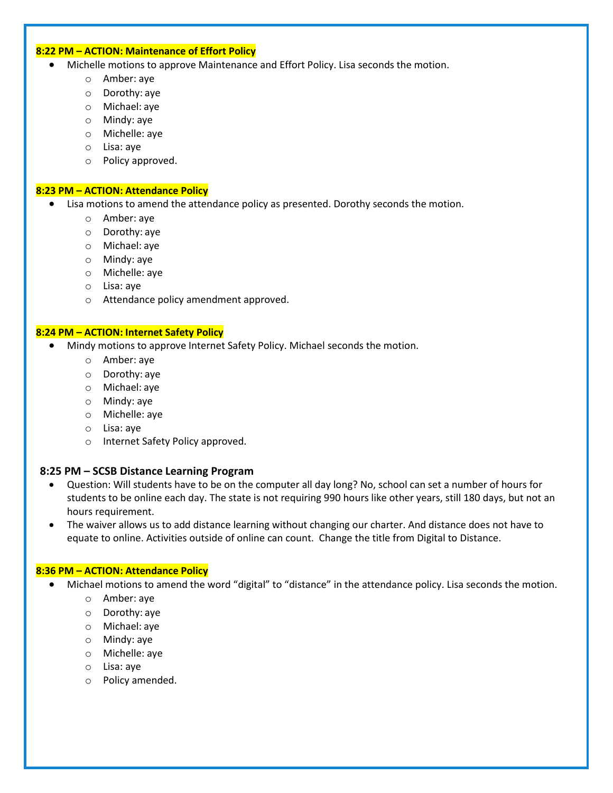#### **8:22 PM – ACTION: Maintenance of Effort Policy**

- Michelle motions to approve Maintenance and Effort Policy. Lisa seconds the motion.
	- o Amber: aye
	- o Dorothy: aye
	- o Michael: aye
	- o Mindy: aye
	- o Michelle: aye
	- o Lisa: aye
	- o Policy approved.

#### **8:23 PM – ACTION: Attendance Policy**

- Lisa motions to amend the attendance policy as presented. Dorothy seconds the motion.
	- o Amber: aye
	- o Dorothy: aye
	- o Michael: aye
	- o Mindy: aye
	- o Michelle: aye
	- o Lisa: aye
	- o Attendance policy amendment approved.

#### **8:24 PM – ACTION: Internet Safety Policy**

- Mindy motions to approve Internet Safety Policy. Michael seconds the motion.
	- o Amber: aye
	- o Dorothy: aye
	- o Michael: aye
	- o Mindy: aye
	- o Michelle: aye
	- o Lisa: aye
	- o Internet Safety Policy approved.

#### **8:25 PM – SCSB Distance Learning Program**

- Question: Will students have to be on the computer all day long? No, school can set a number of hours for students to be online each day. The state is not requiring 990 hours like other years, still 180 days, but not an hours requirement.
- The waiver allows us to add distance learning without changing our charter. And distance does not have to equate to online. Activities outside of online can count. Change the title from Digital to Distance.

#### **8:36 PM – ACTION: Attendance Policy**

- Michael motions to amend the word "digital" to "distance" in the attendance policy. Lisa seconds the motion.
	- o Amber: aye
	- o Dorothy: aye
	- o Michael: aye
	- o Mindy: aye
	- o Michelle: aye
	- o Lisa: aye
	- o Policy amended.